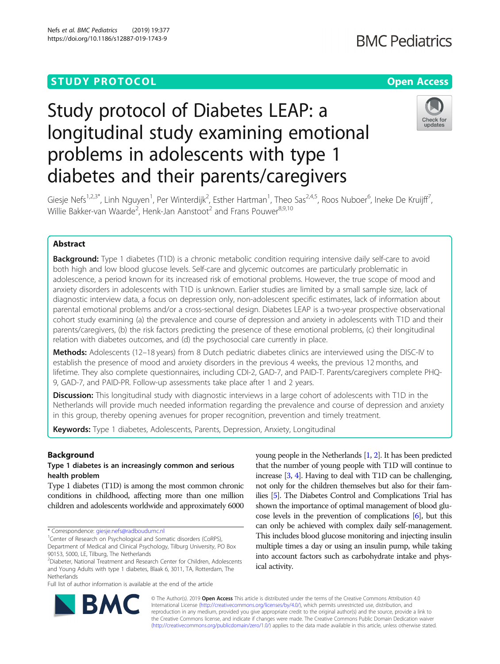## **STUDY PROTOCOL CONSUMING THE RESERVE ACCESS**

# Study protocol of Diabetes LEAP: a longitudinal study examining emotional problems in adolescents with type 1 diabetes and their parents/caregivers



Giesje Nefs<sup>1,2,3\*</sup>, Linh Nguyen<sup>1</sup>, Per Winterdijk<sup>2</sup>, Esther Hartman<sup>1</sup>, Theo Sas<sup>2,4,5</sup>, Roos Nuboer<sup>6</sup>, Ineke De Kruijff<sup>7</sup> , Willie Bakker-van Waarde<sup>2</sup>, Henk-Jan Aanstoot<sup>2</sup> and Frans Pouwer<sup>8,9,10</sup>

### Abstract

**Background:** Type 1 diabetes (T1D) is a chronic metabolic condition requiring intensive daily self-care to avoid both high and low blood glucose levels. Self-care and glycemic outcomes are particularly problematic in adolescence, a period known for its increased risk of emotional problems. However, the true scope of mood and anxiety disorders in adolescents with T1D is unknown. Earlier studies are limited by a small sample size, lack of diagnostic interview data, a focus on depression only, non-adolescent specific estimates, lack of information about parental emotional problems and/or a cross-sectional design. Diabetes LEAP is a two-year prospective observational cohort study examining (a) the prevalence and course of depression and anxiety in adolescents with T1D and their parents/caregivers, (b) the risk factors predicting the presence of these emotional problems, (c) their longitudinal relation with diabetes outcomes, and (d) the psychosocial care currently in place.

Methods: Adolescents (12-18 years) from 8 Dutch pediatric diabetes clinics are interviewed using the DISC-IV to establish the presence of mood and anxiety disorders in the previous 4 weeks, the previous 12 months, and lifetime. They also complete questionnaires, including CDI-2, GAD-7, and PAID-T. Parents/caregivers complete PHQ-9, GAD-7, and PAID-PR. Follow-up assessments take place after 1 and 2 years.

Discussion: This longitudinal study with diagnostic interviews in a large cohort of adolescents with T1D in the Netherlands will provide much needed information regarding the prevalence and course of depression and anxiety in this group, thereby opening avenues for proper recognition, prevention and timely treatment.

Keywords: Type 1 diabetes, Adolescents, Parents, Depression, Anxiety, Longitudinal

#### Background

#### Type 1 diabetes is an increasingly common and serious health problem

Type 1 diabetes (T1D) is among the most common chronic conditions in childhood, affecting more than one million children and adolescents worldwide and approximately 6000

\* Correspondence: [giesje.nefs@radboudumc.nl](mailto:giesje.nefs@radboudumc.nl) <sup>1</sup>

<sup>1</sup> Center of Research on Psychological and Somatic disorders (CoRPS), Department of Medical and Clinical Psychology, Tilburg University, PO Box 90153, 5000, LE, Tilburg, The Netherlands

Full list of author information is available at the end of the article

young people in the Netherlands [\[1](#page-6-0), [2](#page-6-0)]. It has been predicted that the number of young people with T1D will continue to increase [[3](#page-6-0), [4\]](#page-6-0). Having to deal with T1D can be challenging, not only for the children themselves but also for their families [[5](#page-6-0)]. The Diabetes Control and Complications Trial has shown the importance of optimal management of blood glucose levels in the prevention of complications [\[6](#page-6-0)], but this can only be achieved with complex daily self-management. This includes blood glucose monitoring and injecting insulin multiple times a day or using an insulin pump, while taking into account factors such as carbohydrate intake and physical activity.



© The Author(s). 2019 **Open Access** This article is distributed under the terms of the Creative Commons Attribution 4.0 International License [\(http://creativecommons.org/licenses/by/4.0/](http://creativecommons.org/licenses/by/4.0/)), which permits unrestricted use, distribution, and reproduction in any medium, provided you give appropriate credit to the original author(s) and the source, provide a link to the Creative Commons license, and indicate if changes were made. The Creative Commons Public Domain Dedication waiver [\(http://creativecommons.org/publicdomain/zero/1.0/](http://creativecommons.org/publicdomain/zero/1.0/)) applies to the data made available in this article, unless otherwise stated.

<sup>2</sup> Diabeter, National Treatment and Research Center for Children, Adolescents and Young Adults with type 1 diabetes, Blaak 6, 3011, TA, Rotterdam, The Netherlands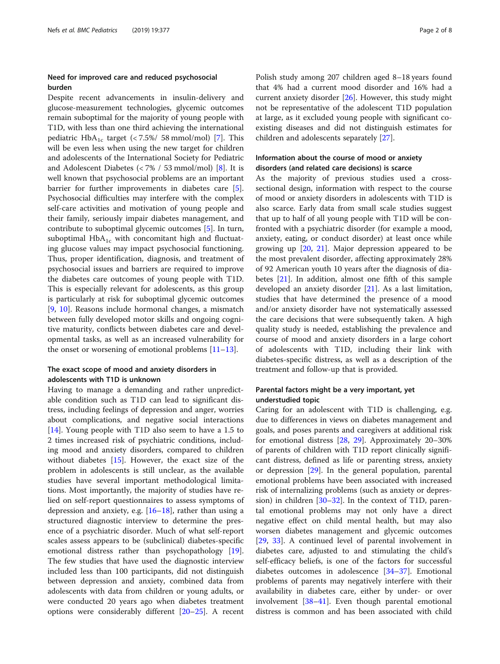#### Need for improved care and reduced psychosocial burden

Despite recent advancements in insulin-delivery and glucose-measurement technologies, glycemic outcomes remain suboptimal for the majority of young people with T1D, with less than one third achieving the international pediatric  $HbA_{1c}$  target (< 7.5%/ 58 mmol/mol) [[7\]](#page-6-0). This will be even less when using the new target for children and adolescents of the International Society for Pediatric and Adolescent Diabetes (< 7% / 53 mmol/mol) [[8](#page-6-0)]. It is well known that psychosocial problems are an important barrier for further improvements in diabetes care [\[5](#page-6-0)]. Psychosocial difficulties may interfere with the complex self-care activities and motivation of young people and their family, seriously impair diabetes management, and contribute to suboptimal glycemic outcomes [[5\]](#page-6-0). In turn, suboptimal  $HbA_{1c}$  with concomitant high and fluctuating glucose values may impact psychosocial functioning. Thus, proper identification, diagnosis, and treatment of psychosocial issues and barriers are required to improve the diabetes care outcomes of young people with T1D. This is especially relevant for adolescents, as this group is particularly at risk for suboptimal glycemic outcomes [[9,](#page-6-0) [10\]](#page-6-0). Reasons include hormonal changes, a mismatch between fully developed motor skills and ongoing cognitive maturity, conflicts between diabetes care and developmental tasks, as well as an increased vulnerability for the onset or worsening of emotional problems  $[11-13]$  $[11-13]$  $[11-13]$  $[11-13]$  $[11-13]$ .

#### The exact scope of mood and anxiety disorders in adolescents with T1D is unknown

Having to manage a demanding and rather unpredictable condition such as T1D can lead to significant distress, including feelings of depression and anger, worries about complications, and negative social interactions [[14\]](#page-6-0). Young people with T1D also seem to have a 1.5 to 2 times increased risk of psychiatric conditions, including mood and anxiety disorders, compared to children without diabetes  $[15]$  $[15]$ . However, the exact size of the problem in adolescents is still unclear, as the available studies have several important methodological limitations. Most importantly, the majority of studies have relied on self-report questionnaires to assess symptoms of depression and anxiety, e.g. [[16](#page-6-0)–[18](#page-6-0)], rather than using a structured diagnostic interview to determine the presence of a psychiatric disorder. Much of what self-report scales assess appears to be (subclinical) diabetes-specific emotional distress rather than psychopathology [\[19](#page-6-0)]. The few studies that have used the diagnostic interview included less than 100 participants, did not distinguish between depression and anxiety, combined data from adolescents with data from children or young adults, or were conducted 20 years ago when diabetes treatment options were considerably different [[20](#page-6-0)–[25](#page-6-0)]. A recent

Polish study among 207 children aged 8–18 years found that 4% had a current mood disorder and 16% had a current anxiety disorder [[26\]](#page-6-0). However, this study might not be representative of the adolescent T1D population at large, as it excluded young people with significant coexisting diseases and did not distinguish estimates for children and adolescents separately [\[27](#page-6-0)].

#### Information about the course of mood or anxiety disorders (and related care decisions) is scarce

As the majority of previous studies used a crosssectional design, information with respect to the course of mood or anxiety disorders in adolescents with T1D is also scarce. Early data from small scale studies suggest that up to half of all young people with T1D will be confronted with a psychiatric disorder (for example a mood, anxiety, eating, or conduct disorder) at least once while growing up [[20,](#page-6-0) [21](#page-6-0)]. Major depression appeared to be the most prevalent disorder, affecting approximately 28% of 92 American youth 10 years after the diagnosis of diabetes [\[21\]](#page-6-0). In addition, almost one fifth of this sample developed an anxiety disorder [\[21\]](#page-6-0). As a last limitation, studies that have determined the presence of a mood and/or anxiety disorder have not systematically assessed the care decisions that were subsequently taken. A high quality study is needed, establishing the prevalence and course of mood and anxiety disorders in a large cohort of adolescents with T1D, including their link with diabetes-specific distress, as well as a description of the treatment and follow-up that is provided.

#### Parental factors might be a very important, yet understudied topic

Caring for an adolescent with T1D is challenging, e.g. due to differences in views on diabetes management and goals, and poses parents and caregivers at additional risk for emotional distress [[28](#page-6-0), [29\]](#page-6-0). Approximately 20–30% of parents of children with T1D report clinically significant distress, defined as life or parenting stress, anxiety or depression [[29](#page-6-0)]. In the general population, parental emotional problems have been associated with increased risk of internalizing problems (such as anxiety or depression) in children [[30](#page-6-0)–[32](#page-7-0)]. In the context of T1D, parental emotional problems may not only have a direct negative effect on child mental health, but may also worsen diabetes management and glycemic outcomes [[29,](#page-6-0) [33](#page-7-0)]. A continued level of parental involvement in diabetes care, adjusted to and stimulating the child's self-efficacy beliefs, is one of the factors for successful diabetes outcomes in adolescence [[34](#page-7-0)–[37](#page-7-0)]. Emotional problems of parents may negatively interfere with their availability in diabetes care, either by under- or over involvement [\[38](#page-7-0)–[41](#page-7-0)]. Even though parental emotional distress is common and has been associated with child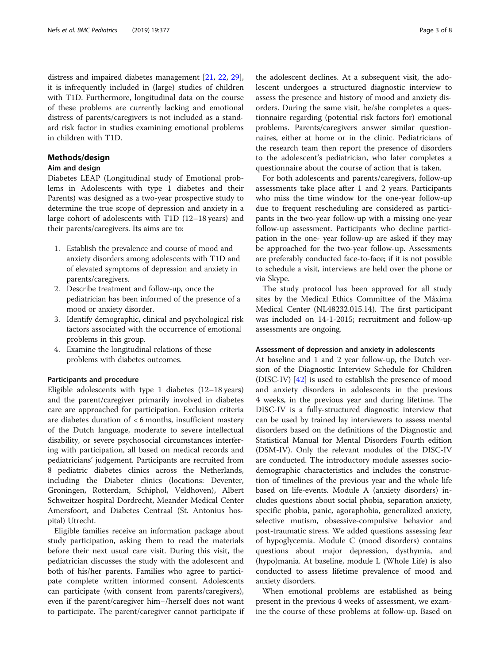distress and impaired diabetes management [[21](#page-6-0), [22,](#page-6-0) [29](#page-6-0)], it is infrequently included in (large) studies of children with T1D. Furthermore, longitudinal data on the course of these problems are currently lacking and emotional distress of parents/caregivers is not included as a standard risk factor in studies examining emotional problems in children with T1D.

#### Methods/design

#### Aim and design

Diabetes LEAP (Longitudinal study of Emotional problems in Adolescents with type 1 diabetes and their Parents) was designed as a two-year prospective study to determine the true scope of depression and anxiety in a large cohort of adolescents with T1D (12–18 years) and their parents/caregivers. Its aims are to:

- 1. Establish the prevalence and course of mood and anxiety disorders among adolescents with T1D and of elevated symptoms of depression and anxiety in parents/caregivers.
- 2. Describe treatment and follow-up, once the pediatrician has been informed of the presence of a mood or anxiety disorder.
- 3. Identify demographic, clinical and psychological risk factors associated with the occurrence of emotional problems in this group.
- 4. Examine the longitudinal relations of these problems with diabetes outcomes.

#### Participants and procedure

Eligible adolescents with type 1 diabetes (12–18 years) and the parent/caregiver primarily involved in diabetes care are approached for participation. Exclusion criteria are diabetes duration of < 6 months, insufficient mastery of the Dutch language, moderate to severe intellectual disability, or severe psychosocial circumstances interfering with participation, all based on medical records and pediatricians' judgement. Participants are recruited from 8 pediatric diabetes clinics across the Netherlands, including the Diabeter clinics (locations: Deventer, Groningen, Rotterdam, Schiphol, Veldhoven), Albert Schweitzer hospital Dordrecht, Meander Medical Center Amersfoort, and Diabetes Centraal (St. Antonius hospital) Utrecht.

Eligible families receive an information package about study participation, asking them to read the materials before their next usual care visit. During this visit, the pediatrician discusses the study with the adolescent and both of his/her parents. Families who agree to participate complete written informed consent. Adolescents can participate (with consent from parents/caregivers), even if the parent/caregiver him−/herself does not want to participate. The parent/caregiver cannot participate if

the adolescent declines. At a subsequent visit, the adolescent undergoes a structured diagnostic interview to assess the presence and history of mood and anxiety disorders. During the same visit, he/she completes a questionnaire regarding (potential risk factors for) emotional problems. Parents/caregivers answer similar questionnaires, either at home or in the clinic. Pediatricians of the research team then report the presence of disorders to the adolescent's pediatrician, who later completes a questionnaire about the course of action that is taken.

For both adolescents and parents/caregivers, follow-up assessments take place after 1 and 2 years. Participants who miss the time window for the one-year follow-up due to frequent rescheduling are considered as participants in the two-year follow-up with a missing one-year follow-up assessment. Participants who decline participation in the one- year follow-up are asked if they may be approached for the two-year follow-up. Assessments are preferably conducted face-to-face; if it is not possible to schedule a visit, interviews are held over the phone or via Skype.

The study protocol has been approved for all study sites by the Medical Ethics Committee of the Máxima Medical Center (NL48232.015.14). The first participant was included on 14-1-2015; recruitment and follow-up assessments are ongoing.

#### Assessment of depression and anxiety in adolescents

At baseline and 1 and 2 year follow-up, the Dutch version of the Diagnostic Interview Schedule for Children (DISC-IV) [[42\]](#page-7-0) is used to establish the presence of mood and anxiety disorders in adolescents in the previous 4 weeks, in the previous year and during lifetime. The DISC-IV is a fully-structured diagnostic interview that can be used by trained lay interviewers to assess mental disorders based on the definitions of the Diagnostic and Statistical Manual for Mental Disorders Fourth edition (DSM-IV). Only the relevant modules of the DISC-IV are conducted. The introductory module assesses sociodemographic characteristics and includes the construction of timelines of the previous year and the whole life based on life-events. Module A (anxiety disorders) includes questions about social phobia, separation anxiety, specific phobia, panic, agoraphobia, generalized anxiety, selective mutism, obsessive-compulsive behavior and post-traumatic stress. We added questions assessing fear of hypoglycemia. Module C (mood disorders) contains questions about major depression, dysthymia, and (hypo)mania. At baseline, module L (Whole Life) is also conducted to assess lifetime prevalence of mood and anxiety disorders.

When emotional problems are established as being present in the previous 4 weeks of assessment, we examine the course of these problems at follow-up. Based on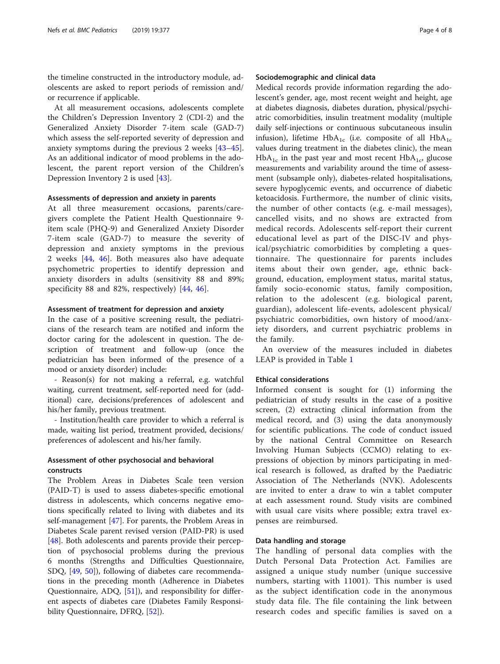the timeline constructed in the introductory module, adolescents are asked to report periods of remission and/ or recurrence if applicable.

At all measurement occasions, adolescents complete the Children's Depression Inventory 2 (CDI-2) and the Generalized Anxiety Disorder 7-item scale (GAD-7) which assess the self-reported severity of depression and anxiety symptoms during the previous 2 weeks [[43](#page-7-0)–[45](#page-7-0)]. As an additional indicator of mood problems in the adolescent, the parent report version of the Children's Depression Inventory 2 is used [\[43](#page-7-0)].

#### Assessments of depression and anxiety in parents

At all three measurement occasions, parents/caregivers complete the Patient Health Questionnaire 9 item scale (PHQ-9) and Generalized Anxiety Disorder 7-item scale (GAD-7) to measure the severity of depression and anxiety symptoms in the previous 2 weeks [\[44](#page-7-0), [46\]](#page-7-0). Both measures also have adequate psychometric properties to identify depression and anxiety disorders in adults (sensitivity 88 and 89%; specificity 88 and 82%, respectively) [[44](#page-7-0), [46](#page-7-0)].

#### Assessment of treatment for depression and anxiety

In the case of a positive screening result, the pediatricians of the research team are notified and inform the doctor caring for the adolescent in question. The description of treatment and follow-up (once the pediatrician has been informed of the presence of a mood or anxiety disorder) include:

- Reason(s) for not making a referral, e.g. watchful waiting, current treatment, self-reported need for (additional) care, decisions/preferences of adolescent and his/her family, previous treatment.

- Institution/health care provider to which a referral is made, waiting list period, treatment provided, decisions/ preferences of adolescent and his/her family.

#### Assessment of other psychosocial and behavioral constructs

The Problem Areas in Diabetes Scale teen version (PAID-T) is used to assess diabetes-specific emotional distress in adolescents, which concerns negative emotions specifically related to living with diabetes and its self-management [[47\]](#page-7-0). For parents, the Problem Areas in Diabetes Scale parent revised version (PAID-PR) is used [[48\]](#page-7-0). Both adolescents and parents provide their perception of psychosocial problems during the previous 6 months (Strengths and Difficulties Questionnaire, SDQ, [[49](#page-7-0), [50](#page-7-0)]), following of diabetes care recommendations in the preceding month (Adherence in Diabetes Questionnaire, ADQ, [\[51](#page-7-0)]), and responsibility for different aspects of diabetes care (Diabetes Family Responsi-bility Questionnaire, DFRQ, [\[52\]](#page-7-0)).

#### Sociodemographic and clinical data

Medical records provide information regarding the adolescent's gender, age, most recent weight and height, age at diabetes diagnosis, diabetes duration, physical/psychiatric comorbidities, insulin treatment modality (multiple daily self-injections or continuous subcutaneous insulin infusion), lifetime  $HbA_{1c}$  (i.e. composite of all  $HbA_{1c}$ values during treatment in the diabetes clinic), the mean  $HbA_{1c}$  in the past year and most recent  $HbA_{1c}$ , glucose measurements and variability around the time of assessment (subsample only), diabetes-related hospitalisations, severe hypoglycemic events, and occurrence of diabetic ketoacidosis. Furthermore, the number of clinic visits, the number of other contacts (e.g. e-mail messages), cancelled visits, and no shows are extracted from medical records. Adolescents self-report their current educational level as part of the DISC-IV and physical/psychiatric comorbidities by completing a questionnaire. The questionnaire for parents includes items about their own gender, age, ethnic background, education, employment status, marital status, family socio-economic status, family composition, relation to the adolescent (e.g. biological parent, guardian), adolescent life-events, adolescent physical/ psychiatric comorbidities, own history of mood/anxiety disorders, and current psychiatric problems in the family.

An overview of the measures included in diabetes LEAP is provided in Table [1](#page-4-0)

#### Ethical considerations

Informed consent is sought for (1) informing the pediatrician of study results in the case of a positive screen, (2) extracting clinical information from the medical record, and (3) using the data anonymously for scientific publications. The code of conduct issued by the national Central Committee on Research Involving Human Subjects (CCMO) relating to expressions of objection by minors participating in medical research is followed, as drafted by the Paediatric Association of The Netherlands (NVK). Adolescents are invited to enter a draw to win a tablet computer at each assessment round. Study visits are combined with usual care visits where possible; extra travel expenses are reimbursed.

#### Data handling and storage

The handling of personal data complies with the Dutch Personal Data Protection Act. Families are assigned a unique study number (unique successive numbers, starting with 11001). This number is used as the subject identification code in the anonymous study data file. The file containing the link between research codes and specific families is saved on a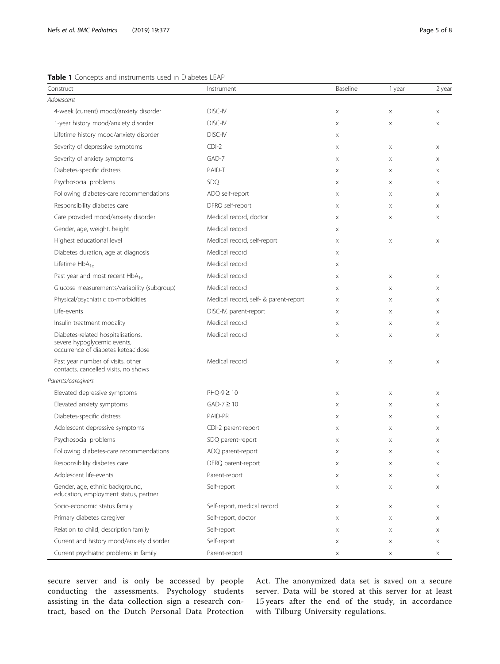#### <span id="page-4-0"></span>Table 1 Concepts and instruments used in Diabetes LEAP

| Construct                                                                                               | Instrument                            | Baseline                  | 1 year      | 2 year |
|---------------------------------------------------------------------------------------------------------|---------------------------------------|---------------------------|-------------|--------|
| Adolescent                                                                                              |                                       |                           |             |        |
| 4-week (current) mood/anxiety disorder                                                                  | DISC-IV                               | $\mathsf X$               | $\mathsf X$ | X      |
| 1-year history mood/anxiety disorder                                                                    | DISC-IV                               | $\mathsf X$               | $\mathsf X$ | X      |
| Lifetime history mood/anxiety disorder                                                                  | DISC-IV                               | Χ                         |             |        |
| Severity of depressive symptoms                                                                         | $CDI-2$                               | $\mathsf X$               | $\mathsf X$ | X      |
| Severity of anxiety symptoms                                                                            | GAD-7                                 | $\mathsf X$               | $\mathsf X$ | X      |
| Diabetes-specific distress                                                                              | PAID-T                                | X                         | X           | X      |
| Psychosocial problems                                                                                   | SDQ                                   | $\mathsf X$               | $\mathsf X$ | X      |
| Following diabetes-care recommendations                                                                 | ADQ self-report                       | $\mathsf X$               | $\mathsf X$ | X      |
| Responsibility diabetes care                                                                            | DFRQ self-report                      | $\mathsf X$               | $\mathsf X$ | X      |
| Care provided mood/anxiety disorder                                                                     | Medical record, doctor                | $\mathsf X$               | $\mathsf X$ | X      |
| Gender, age, weight, height                                                                             | Medical record                        | $\mathsf X$               |             |        |
| Highest educational level                                                                               | Medical record, self-report           | $\mathsf X$               | $\mathsf X$ | X      |
| Diabetes duration, age at diagnosis                                                                     | Medical record                        | $\mathsf X$               |             |        |
| Lifetime $HbA_{1c}$                                                                                     | Medical record                        | $\mathsf X$               |             |        |
| Past year and most recent HbA <sub>1c</sub>                                                             | Medical record                        | $\mathsf X$               | $\mathsf X$ | X      |
| Glucose measurements/variability (subgroup)                                                             | Medical record                        | $\mathsf X$               | $\mathsf X$ | X      |
| Physical/psychiatric co-morbidities                                                                     | Medical record, self- & parent-report | $\mathsf X$               | X           | X      |
| Life-events                                                                                             | DISC-IV, parent-report                | $\mathsf X$               | X           | X      |
| Insulin treatment modality                                                                              | Medical record                        | $\mathsf X$               | $\mathsf X$ | X      |
| Diabetes-related hospitalisations,<br>severe hypoglycemic events,<br>occurrence of diabetes ketoacidose | Medical record                        | $\mathsf X$               | $\mathsf X$ | X      |
| Past year number of visits, other<br>contacts, cancelled visits, no shows                               | Medical record                        | $\mathsf X$               | $\mathsf X$ | X      |
| Parents/caregivers                                                                                      |                                       |                           |             |        |
| Elevated depressive symptoms                                                                            | $PHQ-9 \geq 10$                       | $\mathsf X$               | $\mathsf X$ | X      |
| Elevated anxiety symptoms                                                                               | $GAD-7 \geq 10$                       | $\mathsf X$               | X           | X      |
| Diabetes-specific distress                                                                              | PAID-PR                               | X                         | X           | X      |
| Adolescent depressive symptoms                                                                          | CDI-2 parent-report                   | $\mathsf X$               | $\mathsf X$ | X      |
| Psychosocial problems                                                                                   | SDQ parent-report                     | $\times$                  | $\times$    | X      |
| Following diabetes-care recommendations                                                                 | ADQ parent-report                     | $\boldsymbol{\mathsf{X}}$ | $\mathsf X$ | X      |
| Responsibility diabetes care                                                                            | DFRQ parent-report                    | Χ                         | Χ           | X      |
| Adolescent life-events                                                                                  | Parent-report                         | $\mathsf X$               | $\mathsf X$ | X      |
| Gender, age, ethnic background,<br>education, employment status, partner                                | Self-report                           | Χ                         | Χ           | X      |
| Socio-economic status family                                                                            | Self-report, medical record           | $\mathsf X$               | Χ           | X      |
| Primary diabetes caregiver                                                                              | Self-report, doctor                   | Χ                         | Χ           | X      |
| Relation to child, description family                                                                   | Self-report                           | Χ                         | Χ           | X      |
| Current and history mood/anxiety disorder                                                               | Self-report                           | $\mathsf X$               | $\mathsf X$ | X      |
| Current psychiatric problems in family                                                                  | Parent-report                         | Χ                         | Χ           | X      |

secure server and is only be accessed by people conducting the assessments. Psychology students assisting in the data collection sign a research contract, based on the Dutch Personal Data Protection Act. The anonymized data set is saved on a secure server. Data will be stored at this server for at least 15 years after the end of the study, in accordance with Tilburg University regulations.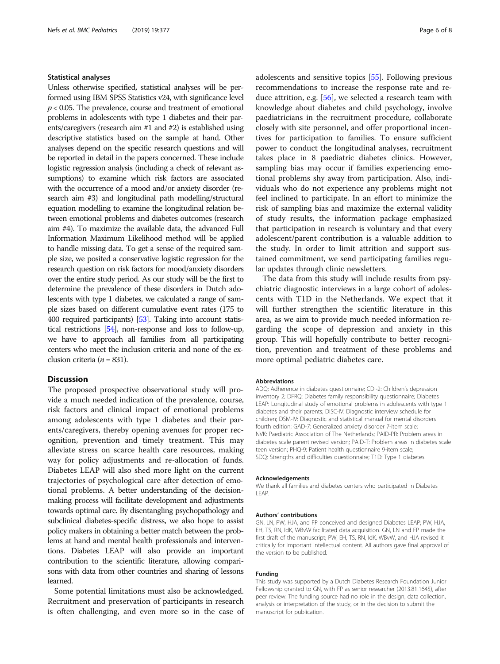#### Statistical analyses

Unless otherwise specified, statistical analyses will be performed using IBM SPSS Statistics v24, with significance level  $p < 0.05$ . The prevalence, course and treatment of emotional problems in adolescents with type 1 diabetes and their parents/caregivers (research aim #1 and #2) is established using descriptive statistics based on the sample at hand. Other analyses depend on the specific research questions and will be reported in detail in the papers concerned. These include logistic regression analysis (including a check of relevant assumptions) to examine which risk factors are associated with the occurrence of a mood and/or anxiety disorder (research aim #3) and longitudinal path modelling/structural equation modelling to examine the longitudinal relation between emotional problems and diabetes outcomes (research aim #4). To maximize the available data, the advanced Full Information Maximum Likelihood method will be applied to handle missing data. To get a sense of the required sample size, we posited a conservative logistic regression for the research question on risk factors for mood/anxiety disorders over the entire study period. As our study will be the first to determine the prevalence of these disorders in Dutch adolescents with type 1 diabetes, we calculated a range of sample sizes based on different cumulative event rates (175 to 400 required participants) [\[53\]](#page-7-0). Taking into account statistical restrictions [\[54](#page-7-0)], non-response and loss to follow-up, we have to approach all families from all participating centers who meet the inclusion criteria and none of the exclusion criteria ( $n = 831$ ).

#### Discussion

The proposed prospective observational study will provide a much needed indication of the prevalence, course, risk factors and clinical impact of emotional problems among adolescents with type 1 diabetes and their parents/caregivers, thereby opening avenues for proper recognition, prevention and timely treatment. This may alleviate stress on scarce health care resources, making way for policy adjustments and re-allocation of funds. Diabetes LEAP will also shed more light on the current trajectories of psychological care after detection of emotional problems. A better understanding of the decisionmaking process will facilitate development and adjustments towards optimal care. By disentangling psychopathology and subclinical diabetes-specific distress, we also hope to assist policy makers in obtaining a better match between the problems at hand and mental health professionals and interventions. Diabetes LEAP will also provide an important contribution to the scientific literature, allowing comparisons with data from other countries and sharing of lessons learned.

Some potential limitations must also be acknowledged. Recruitment and preservation of participants in research is often challenging, and even more so in the case of adolescents and sensitive topics [\[55\]](#page-7-0). Following previous recommendations to increase the response rate and reduce attrition, e.g. [\[56\]](#page-7-0), we selected a research team with knowledge about diabetes and child psychology, involve paediatricians in the recruitment procedure, collaborate closely with site personnel, and offer proportional incentives for participation to families. To ensure sufficient power to conduct the longitudinal analyses, recruitment takes place in 8 paediatric diabetes clinics. However, sampling bias may occur if families experiencing emotional problems shy away from participation. Also, individuals who do not experience any problems might not feel inclined to participate. In an effort to minimize the risk of sampling bias and maximize the external validity of study results, the information package emphasized that participation in research is voluntary and that every adolescent/parent contribution is a valuable addition to the study. In order to limit attrition and support sustained commitment, we send participating families regular updates through clinic newsletters.

The data from this study will include results from psychiatric diagnostic interviews in a large cohort of adolescents with T1D in the Netherlands. We expect that it will further strengthen the scientific literature in this area, as we aim to provide much needed information regarding the scope of depression and anxiety in this group. This will hopefully contribute to better recognition, prevention and treatment of these problems and more optimal pediatric diabetes care.

#### Abbreviations

ADQ: Adherence in diabetes questionnaire; CDI-2: Children's depression inventory 2; DFRQ: Diabetes family responsibility questionnaire; Diabetes LEAP: Longitudinal study of emotional problems in adolescents with type 1 diabetes and their parents; DISC-IV: Diagnostic interview schedule for children; DSM-IV: Diagnostic and statistical manual for mental disorders fourth edition; GAD-7: Generalized anxiety disorder 7-item scale; NVK: Paediatric Association of The Netherlands; PAID-PR: Problem areas in diabetes scale parent revised version; PAID-T: Problem areas in diabetes scale teen version; PHQ-9: Patient health questionnaire 9-item scale; SDQ: Strengths and difficulties questionnaire; T1D: Type 1 diabetes

#### Acknowledgements

We thank all families and diabetes centers who participated in Diabetes LEAP.

#### Authors' contributions

GN, LN, PW, HJA, and FP conceived and designed Diabetes LEAP; PW, HJA, EH, TS, RN, IdK, WBvW facilitated data acquisition. GN, LN and FP made the first draft of the manuscript; PW, EH, TS, RN, IdK, WBvW, and HJA revised it critically for important intellectual content. All authors gave final approval of the version to be published.

#### Funding

This study was supported by a Dutch Diabetes Research Foundation Junior Fellowship granted to GN, with FP as senior researcher (2013.81.1645), after peer review. The funding source had no role in the design, data collection, analysis or interpretation of the study, or in the decision to submit the manuscript for publication.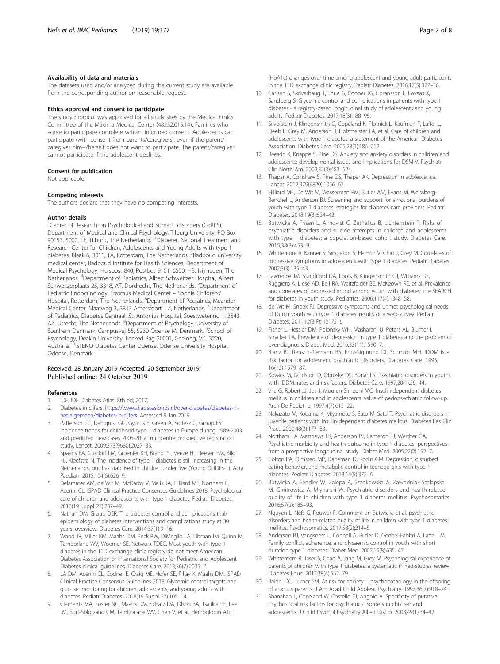#### <span id="page-6-0"></span>Availability of data and materials

The datasets used and/or analyzed during the current study are available from the corresponding author on reasonable request.

#### Ethics approval and consent to participate

The study protocol was approved for all study sites by the Medical Ethics Committee of the Máxima Medical Center (48232.015.14). Families who agree to participate complete written informed consent. Adolescents can participate (with consent from parents/caregivers), even if the parent/ caregiver him−/herself does not want to participate. The parent/caregiver cannot participate if the adolescent declines.

#### Consent for publication

Not applicable.

#### Competing interests

The authors declare that they have no competing interests.

#### Author details

<sup>1</sup>Center of Research on Psychological and Somatic disorders (CoRPS), Department of Medical and Clinical Psychology, Tilburg University, PO Box 90153, 5000, LE, Tilburg, The Netherlands. <sup>2</sup> Diabeter, National Treatment and Research Center for Children, Adolescents and Young Adults with type 1 diabetes, Blaak 6, 3011, TA, Rotterdam, The Netherlands. <sup>3</sup>Radboud university medical center, Radboud Institute for Health Sciences, Department of Medical Psychology, Huispost 840, Postbus 9101, 6500, HB, Nijmegen, The Netherlands. <sup>4</sup>Department of Pediatrics, Albert Schweitzer Hospital, Albert Schweitzerplaats 25, 3318, AT, Dordrecht, The Netherlands. <sup>5</sup>Department of Pediatric Endocrinology, Erasmus Medical Center – Sophia Childrens' Hospital, Rotterdam, The Netherlands. <sup>6</sup>Department of Pediatrics, Meander Medical Center, Maatweg 3, 3813 Amersfoort, TZ, Netherlands. <sup>7</sup>Department of Pediatrics, Diabetes Centraal, St. Antonius Hospital, Soestwetering 1, 3543, AZ, Utrecht, The Netherlands. <sup>8</sup>Department of Psychology, University of Southern Denmark, Campusvej 55, 5230 Odense M, Denmark. <sup>9</sup>School of Psychology, Deakin University, Locked Bag 20001, Geelong, VIC 3220, Australia. <sup>10</sup>STENO Diabetes Center Odense, Odense University Hospital, Odense, Denmark.

#### Received: 28 January 2019 Accepted: 20 September 2019 Published online: 24 October 2019

#### References

- 1. IDF. IDF Diabetes Atlas. 8th ed; 2017.
- 2. Diabetes in cijfers. [https://www.diabetesfonds.nl/over-diabetes/diabetes-in](https://www.diabetesfonds.nl/over-diabetes/diabetes-in-het-algemeen/diabetes-in-cijfers)[het-algemeen/diabetes-in-cijfers](https://www.diabetesfonds.nl/over-diabetes/diabetes-in-het-algemeen/diabetes-in-cijfers). Accessed 9 Jan 2019.
- Patterson CC, Dahlquist GG, Gyurus E, Green A, Soltesz G, Group ES. Incidence trends for childhood type 1 diabetes in Europe during 1989-2003 and predicted new cases 2005-20: a multicentre prospective registration study. Lancet. 2009;373(9680):2027–33.
- 4. Spaans EA, Gusdorf LM, Groenier KH, Brand PL, Veeze HJ, Reeser HM, Bilo HJ, Kleefstra N. The incidence of type 1 diabetes is still increasing in the Netherlands, but has stabilised in children under five (Young DUDEs-1). Acta Paediatr. 2015;104(6):626–9.
- 5. Delamater AM, de Wit M, McDarby V, Malik JA, Hilliard ME, Northam E, Acerini CL. ISPAD Clinical Practice Consensus Guidelines 2018: Psychological care of children and adolescents with type 1 diabetes. Pediatr Diabetes. 2018(19 Suppl 27):237–49.
- 6. Nathan DM, Group DER. The diabetes control and complications trial/ epidemiology of diabetes interventions and complications study at 30 years: overview. Diabetes Care. 2014;37(1):9–16.
- 7. Wood JR, Miller KM, Maahs DM, Beck RW, DiMeglio LA, Libman IM, Quinn M, Tamborlane WV, Woerner SE, Network TDEC. Most youth with type 1 diabetes in the T1D exchange clinic registry do not meet American Diabetes Association or International Society for Pediatric and Adolescent Diabetes clinical guidelines. Diabetes Care. 2013;36(7):2035–7.
- 8. LA DM, Acerini CL, Codner E, Craig ME, Hofer SE, Pillay K, Maahs DM. ISPAD Clinical Practice Consensus Guidelines 2018: Glycemic control targets and glucose monitoring for children, adolescents, and young adults with diabetes. Pediatr Diabetes. 2018(19 Suppl 27):105–14.
- 9. Clements MA, Foster NC, Maahs DM, Schatz DA, Olson BA, Tsalikian E, Lee JM, Burt-Solorzano CM, Tamborlane WV, Chen V, et al. Hemoglobin A1c

(HbA1c) changes over time among adolescent and young adult participants in the T1D exchange clinic registry. Pediatr Diabetes. 2016;17(5):327–36.

- 10. Carlsen S, Skrivarhaug T, Thue G, Cooper JG, Goransson L, Lovaas K, Sandberg S. Glycemic control and complications in patients with type 1 diabetes - a registry-based longitudinal study of adolescents and young adults. Pediatr Diabetes. 2017;18(3):188–95.
- 11. Silverstein J, Klingensmith G, Copeland K, Plotnick L, Kaufman F, Laffel L, Deeb L, Grey M, Anderson B, Holzmeister LA, et al. Care of children and adolescents with type 1 diabetes: a statement of the American Diabetes Association. Diabetes Care. 2005;28(1):186–212.
- 12. Beesdo K, Knappe S, Pine DS. Anxiety and anxiety disorders in children and adolescents: developmental issues and implications for DSM-V. Psychiatr Clin North Am. 2009;32(3):483–524.
- 13. Thapar A, Collishaw S, Pine DS, Thapar AK. Depression in adolescence. Lancet. 2012;379(9820):1056–67.
- 14. Hilliard ME, De Wit M, Wasserman RM, Butler AM, Evans M, Weissberg-Benchell J, Anderson BJ. Screening and support for emotional burdens of youth with type 1 diabetes: strategies for diabetes care providers. Pediatr Diabetes. 2018;19(3):534–43.
- 15. Butwicka A, Frisen L, Almqvist C, Zethelius B, Lichtenstein P. Risks of psychiatric disorders and suicide attempts in children and adolescents with type 1 diabetes: a population-based cohort study. Diabetes Care. 2015;38(3):453–9.
- 16. Whittemore R, Kanner S, Singleton S, Hamrin V, Chiu J, Grey M. Correlates of depressive symptoms in adolescents with type 1 diabetes. Pediatr Diabetes. 2002;3(3):135–43.
- 17. Lawrence JM, Standiford DA, Loots B, Klingensmith GJ, Williams DE, Ruggiero A, Liese AD, Bell RA, Waitzfelder BE, McKeown RE, et al. Prevalence and correlates of depressed mood among youth with diabetes: the SEARCH for diabetes in youth study. Pediatrics. 2006;117(4):1348–58.
- 18. de Wit M, Snoek FJ. Depressive symptoms and unmet psychological needs of Dutch youth with type 1 diabetes: results of a web-survey. Pediatr Diabetes. 2011;12(3 Pt 1):172–6.
- 19. Fisher L, Hessler DM, Polonsky WH, Masharani U, Peters AL, Blumer I, Strycker LA. Prevalence of depression in type 1 diabetes and the problem of over-diagnosis. Diabet Med. 2016;33(11):1590–7.
- 20. Blanz BJ, Rensch-Riemann BS, Fritz-Sigmund DI, Schmidt MH. IDDM is a risk factor for adolescent psychiatric disorders. Diabetes Care. 1993; 16(12):1579–87.
- 21. Kovacs M, Goldston D, Obrosky DS, Bonar LK. Psychiatric disorders in youths with IDDM: rates and risk factors. Diabetes Care. 1997;20(1):36–44.
- 22. Vila G, Robert JJ, Jos J, Mouren-Simeoni MC. Insulin-dependent diabetes mellitus in children and in adolescents: value of pedopsychiatric follow-up. Arch De Pediatrie. 1997;4(7):615–22.
- 23. Nakazato M, Kodama K, Miyamoto S, Sato M, Sato T. Psychiatric disorders in juvenile patients with insulin-dependent diabetes mellitus. Diabetes Res Clin Pract. 2000;48(3):177–83.
- 24. Northam EA, Matthews LK, Anderson PJ, Cameron FJ, Werther GA. Psychiatric morbidity and health outcome in type 1 diabetes--perspectives from a prospective longitudinal study. Diabet Med. 2005;22(2):152–7.
- 25. Colton PA, Olmsted MP, Daneman D, Rodin GM. Depression, disturbed eating behavior, and metabolic control in teenage girls with type 1 diabetes. Pediatr Diabetes. 2013;14(5):372–6.
- 26. Butwicka A, Fendler W, Zalepa A, Szadkowska A, Zawodniak-Szalapska M, Gmitrowicz A, Mlynarski W. Psychiatric disorders and health-related quality of life in children with type 1 diabetes mellitus. Psychosomatics. 2016;57(2):185–93.
- 27. Nguyen L, Nefs G, Pouwer F. Comment on Butwicka et al. psychiatric disorders and health-related quality of life in children with type 1 diabetes mellitus. Psychosomatics. 2017;58(2):214–5.
- Anderson BJ, Vangsness L, Connell A, Butler D, Goebel-Fabbri A, Laffel LM. Family conflict, adherence, and glycaemic control in youth with short duration type 1 diabetes. Diabet Med. 2002;19(8):635–42.
- 29. Whittemore R, Jaser S, Chao A, Jang M, Grey M. Psychological experience of parents of children with type 1 diabetes: a systematic mixed-studies review. Diabetes Educ. 2012;38(4):562–79.
- 30. Beidel DC, Turner SM. At risk for anxiety: I. psychopathology in the offspring of anxious parents. J Am Acad Child Adolesc Psychiatry. 1997;36(7):918–24.
- 31. Shanahan L, Copeland W, Costello EJ, Angold A. Specificity of putative psychosocial risk factors for psychiatric disorders in children and adolescents. J Child Psychol Psychiatry Allied Discip. 2008;49(1):34–42.